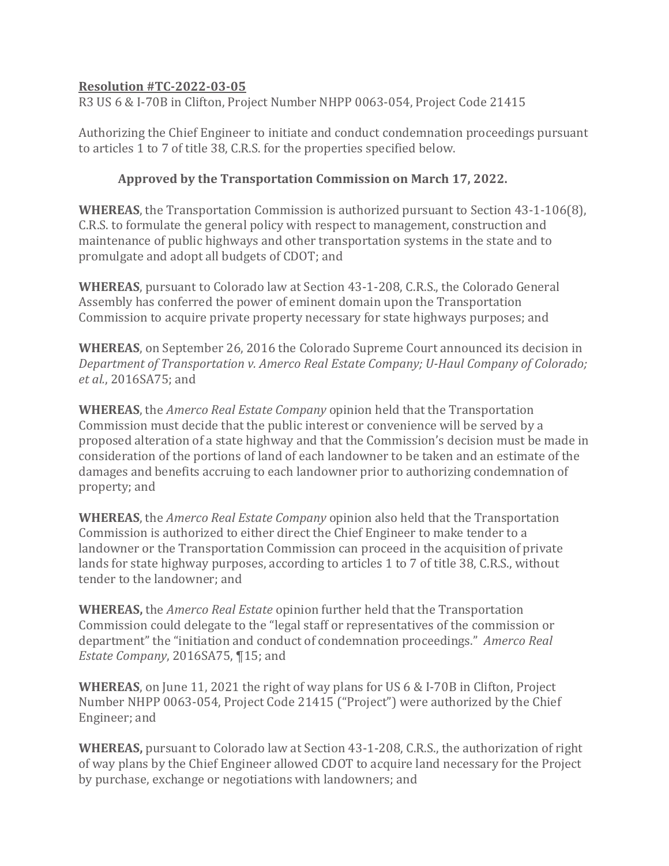## **Resolution #TC-2022-03-05**

R3 US 6 & I-70B in Clifton, Project Number NHPP 0063-054, Project Code 21415

Authorizing the Chief Engineer to initiate and conduct condemnation proceedings pursuant to articles 1 to 7 of title 38, C.R.S. for the properties specified below.

## **Approved by the Transportation Commission on March 17, 2022.**

**WHEREAS**, the Transportation Commission is authorized pursuant to Section 43-1-106(8), C.R.S. to formulate the general policy with respect to management, construction and maintenance of public highways and other transportation systems in the state and to promulgate and adopt all budgets of CDOT; and

**WHEREAS**, pursuant to Colorado law at Section 43-1-208, C.R.S., the Colorado General Assembly has conferred the power of eminent domain upon the Transportation Commission to acquire private property necessary for state highways purposes; and

**WHEREAS**, on September 26, 2016 the Colorado Supreme Court announced its decision in *Department of Transportation v. Amerco Real Estate Company; U-Haul Company of Colorado; et al.*, 2016SA75; and

**WHEREAS**, the *Amerco Real Estate Company* opinion held that the Transportation Commission must decide that the public interest or convenience will be served by a proposed alteration of a state highway and that the Commission's decision must be made in consideration of the portions of land of each landowner to be taken and an estimate of the damages and benefits accruing to each landowner prior to authorizing condemnation of property; and

**WHEREAS**, the *Amerco Real Estate Company* opinion also held that the Transportation Commission is authorized to either direct the Chief Engineer to make tender to a landowner or the Transportation Commission can proceed in the acquisition of private lands for state highway purposes, according to articles 1 to 7 of title 38, C.R.S., without tender to the landowner; and

**WHEREAS,** the *Amerco Real Estate* opinion further held that the Transportation Commission could delegate to the "legal staff or representatives of the commission or department" the "initiation and conduct of condemnation proceedings." *Amerco Real Estate Company*, 2016SA75, ¶15; and

**WHEREAS**, on June 11, 2021 the right of way plans for US 6 & I-70B in Clifton, Project Number NHPP 0063-054, Project Code 21415 ("Project") were authorized by the Chief Engineer; and

**WHEREAS,** pursuant to Colorado law at Section 43-1-208, C.R.S., the authorization of right of way plans by the Chief Engineer allowed CDOT to acquire land necessary for the Project by purchase, exchange or negotiations with landowners; and